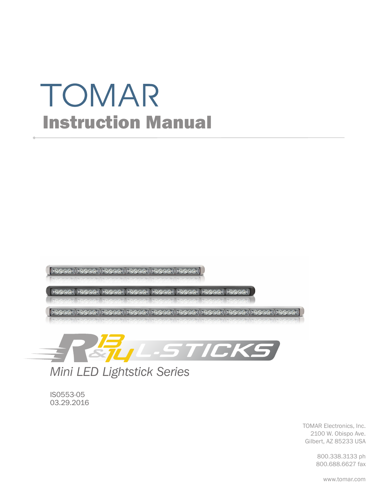# TOMAR Instruction Manual





*Mini LED Lightstick Series*

IS0553-05 03.29.2016

> TOMAR Electronics, Inc. 2100 W. Obispo Ave. Gilbert, AZ 85233 USA

> > 800.338.3133 ph 800.688.6627 fax

> > > www.tomar.com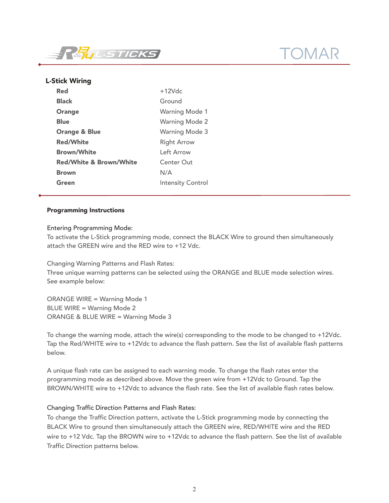

# L-Stick Wiring

| <b>Red</b>                         | $+12Vdc$                 |
|------------------------------------|--------------------------|
| <b>Black</b>                       | Ground                   |
| <b>Orange</b>                      | <b>Warning Mode 1</b>    |
| Blue                               | <b>Warning Mode 2</b>    |
| <b>Orange &amp; Blue</b>           | <b>Warning Mode 3</b>    |
| <b>Red/White</b>                   | <b>Right Arrow</b>       |
| <b>Brown/White</b>                 | Left Arrow               |
| <b>Red/White &amp; Brown/White</b> | <b>Center Out</b>        |
| <b>Brown</b>                       | N/A                      |
| Green                              | <b>Intensity Control</b> |

### Programming Instructions

### Entering Programming Mode:

To activate the L-Stick programming mode, connect the BLACK Wire to ground then simultaneously attach the GREEN wire and the RED wire to +12 Vdc.

Changing Warning Patterns and Flash Rates:

Three unique warning patterns can be selected using the ORANGE and BLUE mode selection wires. See example below:

ORANGE WIRE = Warning Mode 1 BLUE WIRE = Warning Mode 2 ORANGE & BLUE WIRE = Warning Mode 3

To change the warning mode, attach the wire(s) corresponding to the mode to be changed to +12Vdc. Tap the Red/WHITE wire to +12Vdc to advance the flash pattern. See the list of available flash patterns below.

A unique flash rate can be assigned to each warning mode. To change the flash rates enter the programming mode as described above. Move the green wire from +12Vdc to Ground. Tap the BROWN/WHITE wire to +12Vdc to advance the flash rate. See the list of available flash rates below.

# Changing Traffic Direction Patterns and Flash Rates:

To change the Traffic Direction pattern, activate the L-Stick programming mode by connecting the BLACK Wire to ground then simultaneously attach the GREEN wire, RED/WHITE wire and the RED wire to +12 Vdc. Tap the BROWN wire to +12Vdc to advance the flash pattern. See the list of available Traffic Direction patterns below.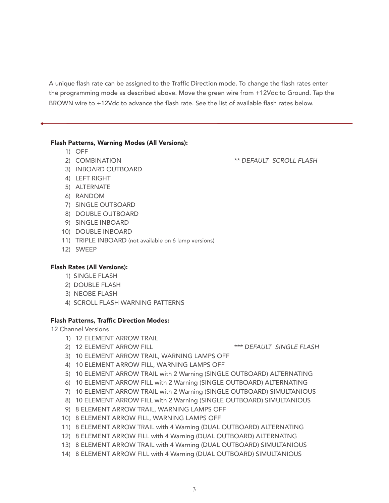A unique flash rate can be assigned to the Traffic Direction mode. To change the flash rates enter the programming mode as described above. Move the green wire from +12Vdc to Ground. Tap the BROWN wire to +12Vdc to advance the flash rate. See the list of available flash rates below.

#### Flash Patterns, Warning Modes (All Versions):

- 1) OFF
- 2) COMBINATION \*\* DEFAULT SCROLL FLASH
- 3) INBOARD OUTBOARD
- 4) LEFT RIGHT
- 5) ALTERNATE
- 6) RANDOM
- 7) SINGLE OUTBOARD
- 8) DOUBLE OUTBOARD
- 9) SINGLE INBOARD
- 10) DOUBLE INBOARD
- 11) TRIPLE INBOARD (not available on 6 lamp versions)
- 12) SWEEP

# Flash Rates (All Versions):

- 1) SINGLE FLASH
- 2) DOUBLE FLASH
- 3) NEOBE FLASH
- 4) SCROLL FLASH WARNING PATTERNS

#### Flash Patterns, Traffic Direction Modes:

12 Channel Versions

- 1) 12 ELEMENT ARROW TRAIL
- 2) 12 ELEMENT ARROW FILL **ALL CONTROLL A FOUR SINGLE FLASH**
- 
- 3) 10 ELEMENT ARROW TRAIL, WARNING LAMPS OFF
- 4) 10 ELEMENT ARROW FILL, WARNING LAMPS OFF
- 5) 10 ELEMENT ARROW TRAIL with 2 Warning (SINGLE OUTBOARD) ALTERNATING
- 6) 10 ELEMENT ARROW FILL with 2 Warning (SINGLE OUTBOARD) ALTERNATING
- 7) 10 ELEMENT ARROW TRAIL with 2 Warning (SINGLE OUTBOARD) SIMULTANIOUS
- 8) 10 ELEMENT ARROW FILL with 2 Warning (SINGLE OUTBOARD) SIMULTANIOUS
- 9) 8 ELEMENT ARROW TRAIL, WARNING LAMPS OFF
- 10) 8 ELEMENT ARROW FILL, WARNING LAMPS OFF
- 11) 8 ELEMENT ARROW TRAIL with 4 Warning (DUAL OUTBOARD) ALTERNATING
- 12) 8 ELEMENT ARROW FILL with 4 Warning (DUAL OUTBOARD) ALTERNATNG
- 13) 8 ELEMENT ARROW TRAIL with 4 Warning (DUAL OUTBOARD) SIMULTANIOUS
- 14) 8 ELEMENT ARROW FILL with 4 Warning (DUAL OUTBOARD) SIMULTANIOUS